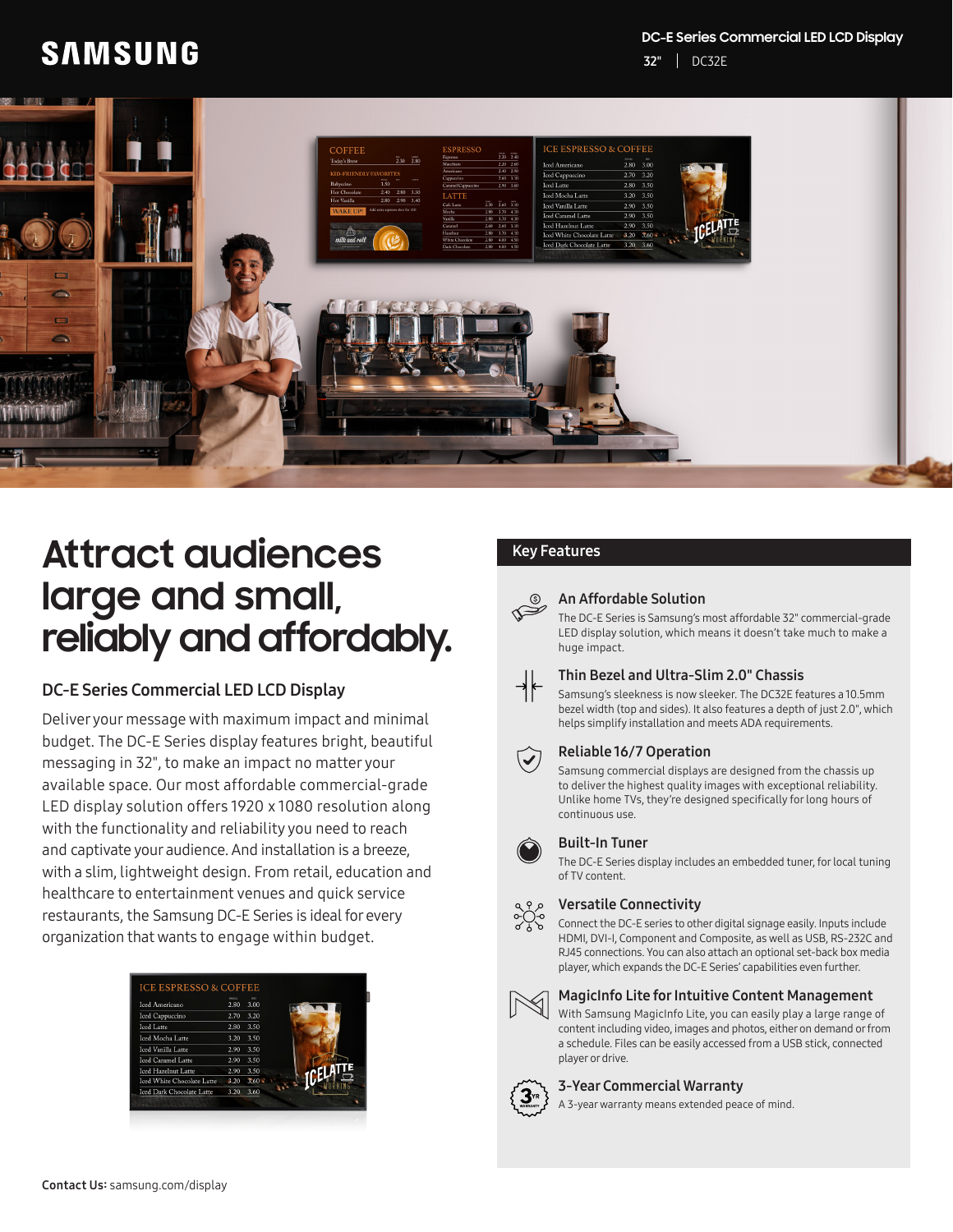#### **DC-E Series Commercial LED LCD Display**

# **SAMSUNG**

32" DC32E



# **Attract audiences large and small, reliably and affordably.**

# DC-E Series Commercial LED LCD Display

Deliver your message with maximum impact and minimal budget. The DC-E Series display features bright, beautiful messaging in 32", to make an impact no matter your available space. Our most affordable commercial-grade LED display solution offers 1920 x 1080 resolution along with the functionality and reliability you need to reach and captivate your audience. And installation is a breeze, with a slim, lightweight design. From retail, education and healthcare to entertainment venues and quick service restaurants, the Samsung DC-E Series is ideal for every organization that wants to engage within budget.

| <b>Iced Americano</b>             | <b>SMALL</b><br>2.80 | <b>BAG</b><br>3.00 |  |  |
|-----------------------------------|----------------------|--------------------|--|--|
| <b>Iced Cappuccino</b>            | 2.70                 | 3.20               |  |  |
| <b>Iced Latte</b>                 | 2.80                 | 3.50               |  |  |
| <b>Iced Mocha Latte</b>           | 3.20                 | 3.50               |  |  |
| Iced Vanilla Latte                | 2.90                 | 3.50               |  |  |
| <b>Iced Caramel Latte</b>         | 2.90                 | 3.50               |  |  |
| <b>Iced Hazelnut Latte</b>        | 2.90                 | 3.50               |  |  |
| <b>Iced White Chocolate Latte</b> | 3.20                 | 3.60               |  |  |
| <b>Iced Dark Chocolate Latte</b>  | 3.20                 | 3.60               |  |  |

# Key Features

# An Affordable Solution

The DC-E Series is Samsung's most affordable 32" commercial-grade LED display solution, which means it doesn't take much to make a huge impact.



#### Thin Bezel and Ultra-Slim 2.0" Chassis

Samsung's sleekness is now sleeker. The DC32E features a 10.5mm bezel width (top and sides). It also features a depth of just 2.0", which helps simplify installation and meets ADA requirements.



#### Reliable 16/7 Operation

Samsung commercial displays are designed from the chassis up to deliver the highest quality images with exceptional reliability. Unlike home TVs, they're designed specifically for long hours of continuous use.

#### Built-In Tuner

The DC-E Series display includes an embedded tuner, for local tuning of TV content.



#### Versatile Connectivity

Connect the DC-E series to other digital signage easily. Inputs include HDMI, DVI-I, Component and Composite, as well as USB, RS-232C and RJ45 connections. You can also attach an optional set-back box media player, which expands the DC-E Series' capabilities even further.



#### MagicInfo Lite for Intuitive Content Management

With Samsung MagicInfo Lite, you can easily play a large range of content including video, images and photos, either on demand or from a schedule. Files can be easily accessed from a USB stick, connected player or drive.

#### 3-Year Commercial Warranty

A 3-year warranty means extended peace of mind.